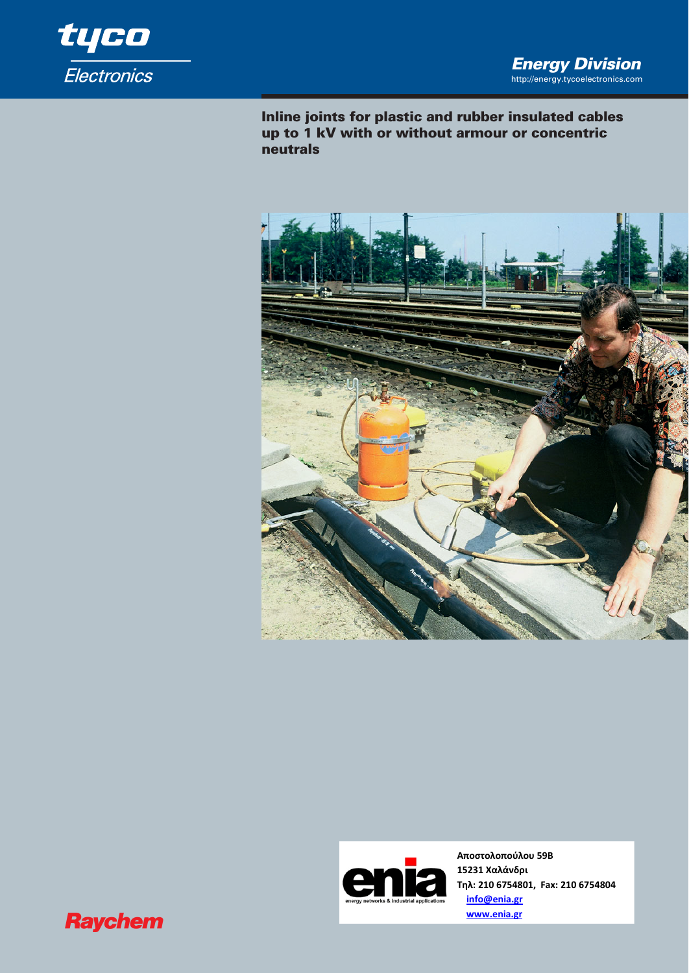

**Inline joints for plastic and rubber insulated cables up to 1 kV with or without armour or concentric neutrals**





**Αποστολοπούλου 59Β 15231 Χαλάνδρι Τηλ: 210 6754801, Fax: 210 6754804 info@enia.gr www.enia.gr**

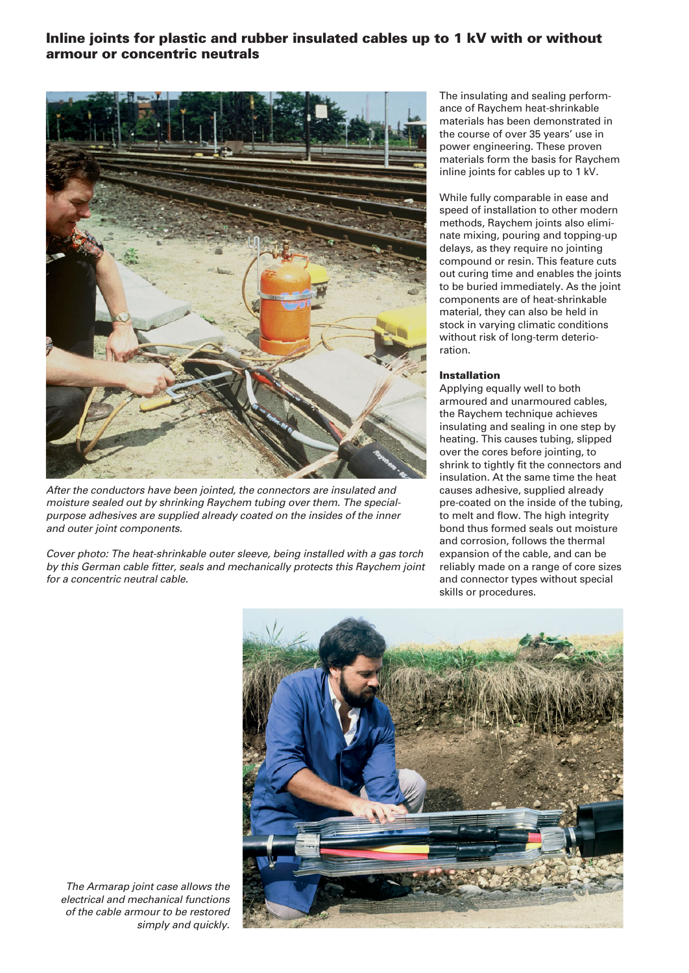## **Inline joints for plastic and rubber insulated cables up to 1 kV with or without armour or concentric neutrals**



*After the conductors have been jointed, the connectors are insulated and moisture sealed out by shrinking Raychem tubing over them. The specialpurpose adhesives are supplied already coated on the insides of the inner and outer joint components.* 

*Cover photo: The heat-shrinkable outer sleeve, being installed with a gas torch by this German cable fitter, seals and mechanically protects this Raychem joint for a concentric neutral cable.*

The insulating and sealing performance of Raychem heat-shrinkable materials has been demonstrated in the course of over 35 years' use in power engineering. These proven materials form the basis for Raychem inline joints for cables up to 1 kV.

While fully comparable in ease and speed of installation to other modern methods, Raychem joints also eliminate mixing, pouring and topping-up delays, as they require no jointing compound or resin. This feature cuts out curing time and enables the joints to be buried immediately. As the joint components are of heat-shrinkable material, they can also be held in stock in varying climatic conditions without risk of long-term deterioration.

#### **Installation**

Applying equally well to both armoured and unarmoured cables, the Raychem technique achieves insulating and sealing in one step by heating. This causes tubing, slipped over the cores before jointing, to shrink to tightly fit the connectors and insulation. At the same time the heat causes adhesive, supplied already pre-coated on the inside of the tubing, to melt and flow. The high integrity bond thus formed seals out moisture and corrosion, follows the thermal expansion of the cable, and can be reliably made on a range of core sizes and connector types without special skills or procedures.



*The Armarap joint case allows the electrical and mechanical functions of the cable armour to be restored simply and quickly.*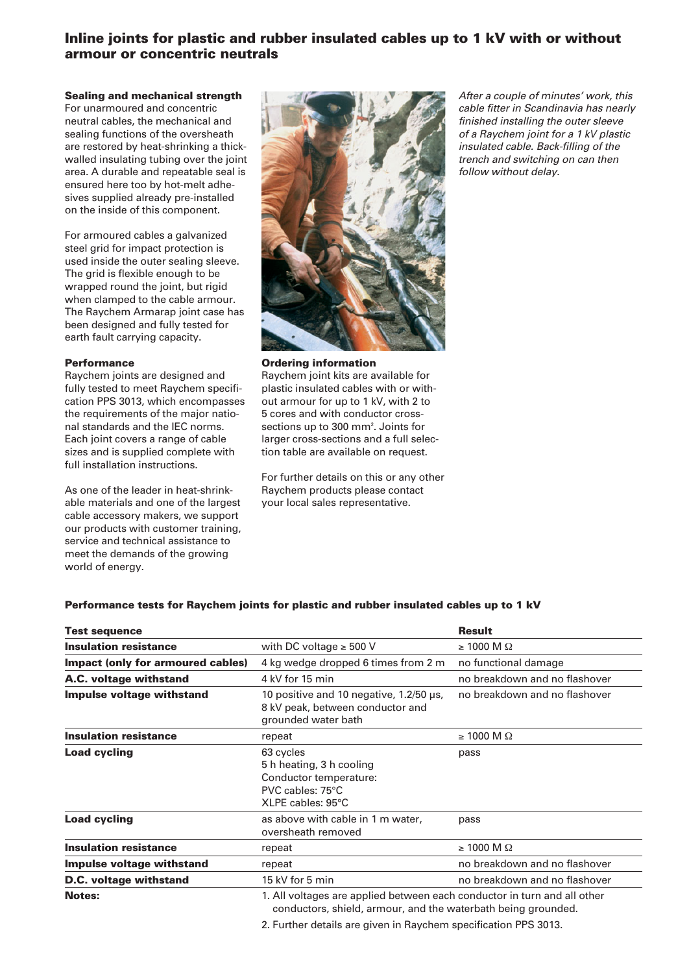# **Inline joints for plastic and rubber insulated cables up to 1 kV with or without armour or concentric neutrals**

### **Sealing and mechanical strength**

For unarmoured and concentric neutral cables, the mechanical and sealing functions of the oversheath are restored by heat-shrinking a thickwalled insulating tubing over the joint area. A durable and repeatable seal is ensured here too by hot-melt adhesives supplied already pre-installed on the inside of this component.

For armoured cables a galvanized steel grid for impact protection is used inside the outer sealing sleeve. The grid is flexible enough to be wrapped round the joint, but rigid when clamped to the cable armour. The Raychem Armarap joint case has been designed and fully tested for earth fault carrying capacity.

#### **Performance**

Raychem joints are designed and fully tested to meet Raychem specification PPS 3013, which encompasses the requirements of the major national standards and the IEC norms. Each joint covers a range of cable sizes and is supplied complete with full installation instructions.

As one of the leader in heat-shrinkable materials and one of the largest cable accessory makers, we support our products with customer training, service and technical assistance to meet the demands of the growing world of energy.



**Ordering information** Raychem joint kits are available for plastic insulated cables with or without armour for up to 1 kV, with 2 to 5 cores and with conductor crosssections up to 300 mm<sup>2</sup>. Joints for larger cross-sections and a full selection table are available on request.

For further details on this or any other Raychem products please contact your local sales representative.

*After a couple of minutes' work, this cable fitter in Scandinavia has nearly finished installing the outer sleeve of a Raychem joint for a 1 kV plastic insulated cable. Back-filling of the trench and switching on can then follow without delay.*

### **Performance tests for Raychem joints for plastic and rubber insulated cables up to 1 kV**

| <b>Test sequence</b>              |                                                                                                                                           | <b>Result</b>                 |
|-----------------------------------|-------------------------------------------------------------------------------------------------------------------------------------------|-------------------------------|
| <b>Insulation resistance</b>      | with DC voltage $\geq 500$ V                                                                                                              | $\geq 1000$ M $\Omega$        |
| Impact (only for armoured cables) | 4 kg wedge dropped 6 times from 2 m                                                                                                       | no functional damage          |
| A.C. voltage withstand            | 4 kV for 15 min                                                                                                                           | no breakdown and no flashover |
| Impulse voltage withstand         | 10 positive and 10 negative, 1.2/50 µs,<br>8 kV peak, between conductor and<br>grounded water bath                                        | no breakdown and no flashover |
| <b>Insulation resistance</b>      | repeat                                                                                                                                    | $\geq 1000$ M $\Omega$        |
| <b>Load cycling</b>               | 63 cycles<br>5 h heating, 3 h cooling<br>Conductor temperature:<br>PVC cables: 75°C<br>XLPE cables: 95°C                                  | pass                          |
| <b>Load cycling</b>               | as above with cable in 1 m water,<br>oversheath removed                                                                                   | pass                          |
| <b>Insulation resistance</b>      | repeat                                                                                                                                    | $\geq 1000$ M $\Omega$        |
| Impulse voltage withstand         | repeat                                                                                                                                    | no breakdown and no flashover |
| D.C. voltage withstand            | 15 kV for 5 min                                                                                                                           | no breakdown and no flashover |
| <b>Notes:</b>                     | 1. All voltages are applied between each conductor in turn and all other<br>conductors, shield, armour, and the waterbath being grounded. |                               |
|                                   | 2. Further details are given in Raychem specification PPS 3013.                                                                           |                               |